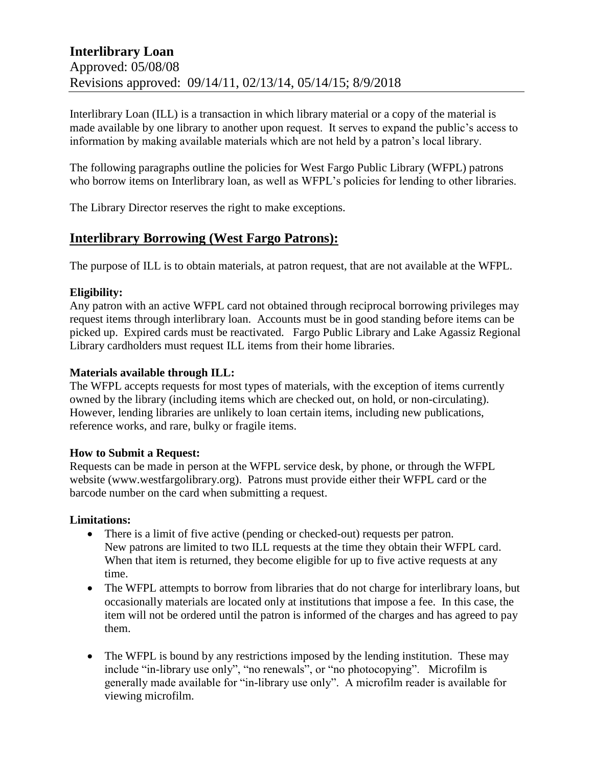Interlibrary Loan (ILL) is a transaction in which library material or a copy of the material is made available by one library to another upon request. It serves to expand the public's access to information by making available materials which are not held by a patron's local library.

The following paragraphs outline the policies for West Fargo Public Library (WFPL) patrons who borrow items on Interlibrary loan, as well as WFPL's policies for lending to other libraries.

The Library Director reserves the right to make exceptions.

# **Interlibrary Borrowing (West Fargo Patrons):**

The purpose of ILL is to obtain materials, at patron request, that are not available at the WFPL.

## **Eligibility:**

Any patron with an active WFPL card not obtained through reciprocal borrowing privileges may request items through interlibrary loan. Accounts must be in good standing before items can be picked up. Expired cards must be reactivated. Fargo Public Library and Lake Agassiz Regional Library cardholders must request ILL items from their home libraries.

## **Materials available through ILL:**

The WFPL accepts requests for most types of materials, with the exception of items currently owned by the library (including items which are checked out, on hold, or non-circulating). However, lending libraries are unlikely to loan certain items, including new publications, reference works, and rare, bulky or fragile items.

## **How to Submit a Request:**

Requests can be made in person at the WFPL service desk, by phone, or through the WFPL website (www.westfargolibrary.org). Patrons must provide either their WFPL card or the barcode number on the card when submitting a request.

## **Limitations:**

- There is a limit of five active (pending or checked-out) requests per patron. New patrons are limited to two ILL requests at the time they obtain their WFPL card. When that item is returned, they become eligible for up to five active requests at any time.
- The WFPL attempts to borrow from libraries that do not charge for interlibrary loans, but occasionally materials are located only at institutions that impose a fee. In this case, the item will not be ordered until the patron is informed of the charges and has agreed to pay them.
- The WFPL is bound by any restrictions imposed by the lending institution. These may include "in-library use only", "no renewals", or "no photocopying". Microfilm is generally made available for "in-library use only". A microfilm reader is available for viewing microfilm.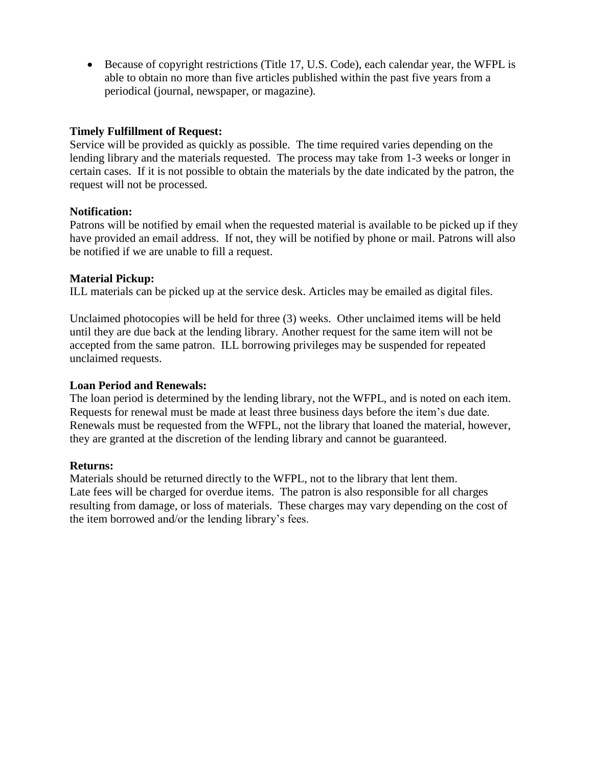Because of copyright restrictions (Title 17, U.S. Code), each calendar year, the WFPL is able to obtain no more than five articles published within the past five years from a periodical (journal, newspaper, or magazine).

## **Timely Fulfillment of Request:**

Service will be provided as quickly as possible. The time required varies depending on the lending library and the materials requested. The process may take from 1-3 weeks or longer in certain cases. If it is not possible to obtain the materials by the date indicated by the patron, the request will not be processed.

### **Notification:**

Patrons will be notified by email when the requested material is available to be picked up if they have provided an email address. If not, they will be notified by phone or mail. Patrons will also be notified if we are unable to fill a request.

#### **Material Pickup:**

ILL materials can be picked up at the service desk. Articles may be emailed as digital files.

Unclaimed photocopies will be held for three (3) weeks. Other unclaimed items will be held until they are due back at the lending library. Another request for the same item will not be accepted from the same patron. ILL borrowing privileges may be suspended for repeated unclaimed requests.

#### **Loan Period and Renewals:**

The loan period is determined by the lending library, not the WFPL, and is noted on each item. Requests for renewal must be made at least three business days before the item's due date. Renewals must be requested from the WFPL, not the library that loaned the material, however, they are granted at the discretion of the lending library and cannot be guaranteed.

#### **Returns:**

Materials should be returned directly to the WFPL, not to the library that lent them. Late fees will be charged for overdue items. The patron is also responsible for all charges resulting from damage, or loss of materials. These charges may vary depending on the cost of the item borrowed and/or the lending library's fees.